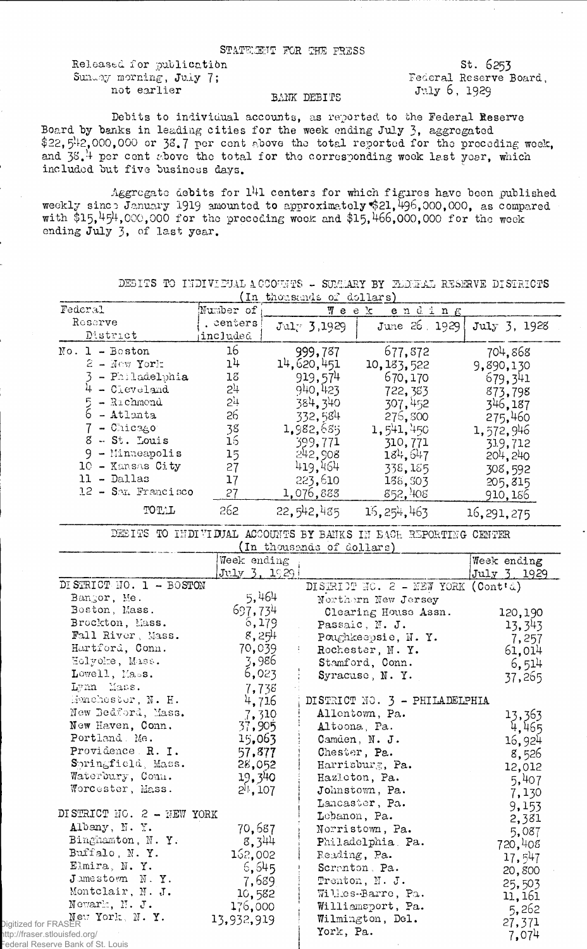## STATEMENT FOR THE PRESS

Released for publication Sunday morning, July 7; not earlier

St. 6253 Federal Reserve Board, July 6, 1929

## BANK DEBITS

Debits to individual accounts, as reported to the Federal Reserve Board by banks in leading cities for the week ending July 3, aggregated  $$22, 5<sup>1</sup>12,000,000$  or 33.7 per cent above the total reported for the preceding week, and 38.<sup>1</sup> per cent above the total for the corresponding week last year, which included but five business days.

Aggregate debits for 141 centers for which figures have been published weekly since January 1919 amounted to approximately \$21,  $\overline{4}96,000,000$ , as compared with \$15,  $454,000,000$  for the preceding week and \$15, 466,000,000 for the week ending July 3, of last year.

| Federal <sup>®</sup>                                               | しエム<br>Number of | $0.1000$ beatles $0.4001$ and $0.500$ | Меек<br>$e$ n d i n $g$                                         |              |
|--------------------------------------------------------------------|------------------|---------------------------------------|-----------------------------------------------------------------|--------------|
| Reserve                                                            | . centers        |                                       | June 26, 1929                                                   |              |
| District                                                           | included         | $J$ ul $\tau$ 3,1929                  |                                                                 | July 3, 1928 |
| $No. 1 - Boston$                                                   | 16               | 999,787                               | 677,872                                                         | 704,868      |
| $2 -$ New York                                                     | 1 <sup>1</sup>   | 14,620,451                            | 10, 183, 522                                                    | 9,890,130    |
| - Philadelphia                                                     | 18               | 919,574                               | 670,170                                                         | 679,341      |
| $4 -$ Cleveland                                                    | 2 <sup>1</sup>   | 940,423                               | 722, 383                                                        |              |
| - Richmond                                                         | 5,7              | 384, 340                              |                                                                 | 873,798      |
| $5 -$ Richmond<br>6 - Atlanta                                      | 26               | 332,584                               | 307,452                                                         | 346,187      |
| $7 -$ Chicago                                                      | 38               |                                       | 276,800                                                         | 275,460      |
| $8 - St$ . Louis                                                   | $\overline{1}$   | 1,982,685                             | 1,541,450                                                       | 1,572,946    |
| $9 -$ Minneapolis                                                  |                  | 399,771                               | 310,771                                                         | 319,712      |
|                                                                    | 15               | 242,908                               | $181$ , 6 <sup>1</sup> / <sub>7</sub>                           | 204, 240     |
| 10 - Kansas City                                                   | 27               | 419,464                               | 338,185                                                         | 308,592      |
| 11 - Dallas                                                        | 17               | 223,610                               | 188, 303                                                        | 205,815      |
| $12 - S$ an Francisco                                              | 27               | 1,076,888                             | 852,408                                                         | 910,186      |
| TOTAL                                                              | 262              | 22,542,485                            | 15, 254, 463                                                    | 16, 291, 275 |
|                                                                    |                  |                                       | DEBITS TO INDIVIDUAL ACCOUNTS BY BANKS IN EACH REPORTING CENTER |              |
|                                                                    |                  | (In thousands of dollars)             |                                                                 |              |
|                                                                    | Week ending      |                                       |                                                                 | Week ending  |
|                                                                    | $July$ 3, $1929$ |                                       |                                                                 | July 3, 1929 |
| DISTRICT NO. 1 - BOSTON                                            |                  |                                       | DISTRIBT NO. 2 - NEW YORK (Cont'd)                              |              |
| Bangor, Me.                                                        | 5,464            |                                       | Northern New Jersey                                             |              |
| Boston, Mass.                                                      | 697,734          |                                       | Clearing House Assn.                                            | 120,190      |
| Brockton, Mass.                                                    | 6,179            |                                       | Passaic, N. J.                                                  | 13,343       |
| Fall River, Mass.                                                  | 8,254            |                                       | Poughkeepsie, N.Y.                                              | 7,257        |
| Hartford, Conn.                                                    | 70,039           |                                       | Rochester, N.Y.                                                 | 61,014       |
| Holyoke, Mass.                                                     | 3,986            |                                       | Stamford, Conn.                                                 | 6,514        |
| Lowell, Mass.                                                      | 6,023            |                                       | Syracuse, N.Y.                                                  | 37,265       |
| Lynn Mass.                                                         | 7,738            |                                       |                                                                 |              |
| Hanchester, N. H.                                                  | 4,716            |                                       | DISTRICT NO. 3 - PHILADELPHIA                                   |              |
| New Bedford, Mass.                                                 | 7,310            |                                       | Allentown, Pa.                                                  | 13,363       |
| New Haven, Conn.                                                   | 37,905           |                                       | Altoona, Pa.                                                    | 4,465        |
| Portland. Me.                                                      | 15,063           |                                       | Camden, N. J.                                                   | 16,924       |
| Providence R. I.                                                   | 57,877           |                                       | Chester, Pa.                                                    | 8,526        |
| Springfield, Mass.                                                 | 28,052           |                                       | Harrisburg, Pa.                                                 | 12,012       |
| Waterbury, Comm.                                                   | 19.340           |                                       | Hazloton, Pa.                                                   | 5,407        |
| Worcester, Mass.                                                   | $2^{11}$ , 107   |                                       | Johnstown, Pa.                                                  | 7,130        |
|                                                                    |                  |                                       | Lancaster, Pa.                                                  | 9,153        |
| DISTRICT NO. 2 - NEW YORK                                          |                  |                                       | Lebanon, Pa.                                                    | 2,381        |
| Albany, N.Y.                                                       | 70,687           |                                       | Norristown, Pa.                                                 | 5,087        |
| Binghamton, N.Y.                                                   | 8,344            |                                       | Philadelphia Pa.                                                | 720,408      |
| Buffalo, N.Y.                                                      | 162,002          |                                       | Reading, Pa.                                                    | 17,547       |
| Elmira, N.Y.                                                       | 6,545            |                                       | Screnton, Pa.                                                   |              |
| Jumestown N.Y.                                                     | 7,689            |                                       | Trenton, N. J.                                                  | 20,800       |
| Montclair, N. J.                                                   | 10,582           |                                       | Willes-Barre, Pa.                                               | 25,503       |
| Newark, N. J.                                                      | 176,000          |                                       | Williamsport, Pa.                                               | 11, 161      |
| New York, N.Y.                                                     | 13,932,919       |                                       | Wilmington, Del.                                                | 5,262        |
| Digitized for FRASER                                               |                  | York, Pa.                             |                                                                 | 27,371       |
| http://fraser.stlouisfed.org/<br>Federal Reserve Bank of St. Louis |                  |                                       |                                                                 | 7,074        |

DEBITS TO INDIVIEUAL ACCOUNTS - SUMMARY BY FEDERAL RESERVE DISTRICTS (In thousands of dollars)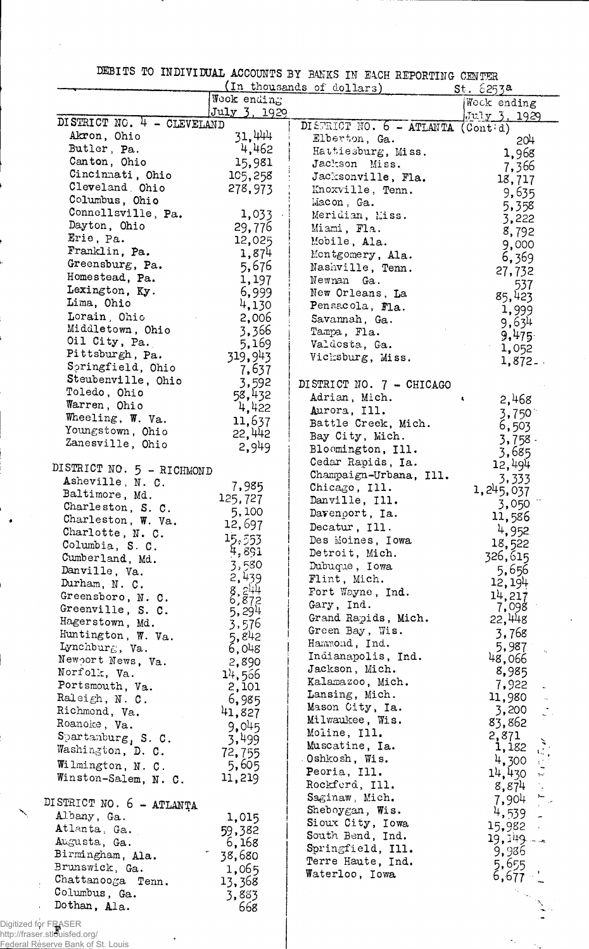DEBITS TO INDIVIDUAL ACCOUNTS BY BANKS IN EACH REPORTING- CENTER

|                               |                 | (In thousands of dollars)         | st.6253a     |
|-------------------------------|-----------------|-----------------------------------|--------------|
|                               | Weck ending     |                                   | Weck ending  |
| DISTRICT NO. 4 - CLEVELAND    | July 3, 1929    |                                   | July 3, 1929 |
|                               |                 | DISTRICT NO. 6 - ATLANTA (Contid) |              |
| Akron, Ohio                   | 31,444          | Elberton, Ga.                     | 204          |
| Butler, Pa.                   | 4,462           | Hattiesburg, Miss.                | 1,968        |
| Canton, Ohio                  | 15,981          | Jackson Miss.                     | 7,366        |
| Cincinnati, Ohio              | 105,258         | Jacksonville, Fla.                | 18,717       |
| Cleveland, Ohio               | 278,973         | Knoxville, Tenn.                  | 9,635        |
| Columbus, Ohio                |                 | Macon, Ga.                        | 5,358        |
| Connellsville, Pa.            | 1,033           | Meridian, Miss.                   | 3,222        |
| Dayton, Ohio                  | 29,776          | Miami, Fla.                       |              |
| Erie, Pa.                     | 12,025          | Mobile, Ala.                      | 8,792        |
| Franklin, Pa.                 | 1,874           |                                   | 9,000        |
| Greensburg, Pa.               | 5,676           | Montgomery, Ala.                  | 6,369        |
| Homestead, Pa.                |                 | Nashville, Tenn.                  | 27,732       |
|                               | 1,197           | Newnan Ga.                        | 537          |
| Lexington, Ky.                | 6,999           | New Orleans, La                   | 85,423       |
| Lima, Ohio                    | 4,130           | Pensacola, Fla.                   | 1,999        |
| Lorain Ohio                   | 2,006           | Savannah, Ga.                     | 9,634        |
| Middletown, Ohio              | 3,366           | Tampa, Fla.                       | 9,475        |
| Oil City, Pa.                 | 5,169           | Valdosta, Ga.                     |              |
| Pittsburgh, Pa.               | 319,943         | Vichsburg, Miss.                  | 1,052        |
| Springfield, Ohio             | 7,637           |                                   | $1,872-$     |
| Steubenville, Ohio            |                 |                                   |              |
| Toledo, Ohio                  | 3,592           | DISTRICT NO. 7 - CHICAGO          |              |
| Warren, Ohio                  | 58,432          | Adrian, Mich.                     | 2,468<br>×.  |
| Wheeling, W. Va.              | 4,422           | Aurora, Ill.                      | 3,750        |
|                               | 11,637          | Battle Creek, Mich.               | 6,503        |
| Youngstown, Ohio              | 22,442          | Bay City, Mich.                   | $3,758$ .    |
| Zanesville, Ohio              | 2,949           | Bloomington, Ill.                 | 3,685        |
|                               |                 | Cedar Rapids, Ia.                 | 12,494       |
| DISTRICT NO. 5 - RICHMOND     |                 | Champaign-Urbana, Ill.            |              |
| Asheville, N. C.              | 7,985           | Chicago, Ill.                     | 3,333        |
| Baltimore, Md.                | 125,727         | Danville, Ill.                    | 1, 245, 037  |
| Charleston, S. C.             | 5,100           |                                   | 3,050        |
| Charleston, W. Va.            |                 | Davenport, Ia.                    | 11,586       |
| Charlotte, N. C.              | 12,697          | Decatur, Ill.                     | 4,952        |
| Columbia, S. C.               | 15,553          | Des Moines, Iowa                  | 18,522       |
| Cumberland, Md.               | 4,891           | Detroit, Mich.                    | 326,615      |
| Danville, Va.                 | 3,580           | Dubuque, Iowa                     | 5,656        |
| Durham, N. C.                 | 2,439           | Flint, Mich.                      | 12, 194      |
|                               | 8.872           | Fort Wayne, Ind.                  | 14,217       |
| Greensboro, N. C.             |                 | Gary, Ind.                        | 7,098        |
| Greenville, S. C.             | 5,294           | Grand Rapids, Mich.               |              |
| Hagerstown, Md.               | 3,576           |                                   | 22,448       |
| Huntington, W. Va.            | 5,842           | Green Bay, Wis.                   | 3,768        |
| Lynchburg, Va.                | 6,048           | Hammond, Ind.                     | 5,987        |
| Newport News, Va.             | 2,890           | Indianapolis, Ind.                | 48,066       |
| Norfolk, Va.                  | 14,566          | Jackson, Mich.                    | 8,985        |
| Portsmouth, Va.               | 2,101           | Kalamazoo, Mich.                  | 7,922        |
| Raleigh, $N. C.$              | 6,985           | Lansing, Mich.                    | 11,980       |
| Richmond, Va.                 |                 | Mason City, Ia.                   | 3,200        |
|                               | 41,827          | Milwaukee, Wis.                   | 83,862       |
| Roanoke, Va.                  | 9,045           | Moline, Ill.                      |              |
| $S$ partanburg, S. C.         | 3,499           | Muscatine, Ia.                    | 2,871        |
| Washington, D. C.             | 72,755          | Oshkosh, Wis.                     | 1,182        |
| Wilmington, N. C.             | 5,605           |                                   | 4,300        |
| Winston-Salem, N. C.          | 11,219          | Peoria, Ill.                      | 14,430       |
|                               |                 | Rockferd, Ill.                    | 8,874        |
| DISTRICT NO. 6 - ATLANTA      |                 | Saginaw, Mich.                    | 7,904        |
| Albany, Ga.                   |                 | Sheboygan, Wis.                   | 4,539        |
|                               | 1,015           | Sioux City, Iowa                  | 15,982       |
| Atlanta, Ga.                  | 59,382          | South Bend, Ind.                  | 19,149       |
| Augusta, Ga.                  | 6,168           | Springfield, Ill.                 | 9,936        |
| Birmingham, Ala.              | 38,680          | Terre Haute, Ind.                 |              |
|                               | 1,065           | Waterloo, Iowa                    | 5,655        |
| Brunswick, Ga.                |                 |                                   |              |
| Chattanooga Tenn.             |                 |                                   |              |
| Columbus, Ga.<br>Dothan, Ala. | 13,368<br>3,883 |                                   | $6,677 - $   |

 $\star_{\rm s}$  $\sim 10^{11}$ 

http://fraser.stlouisfed.org/ Federal Reserve Bank of St. Louis

 $\mathcal{A}$ 

 $\ddot{\phantom{a}}$